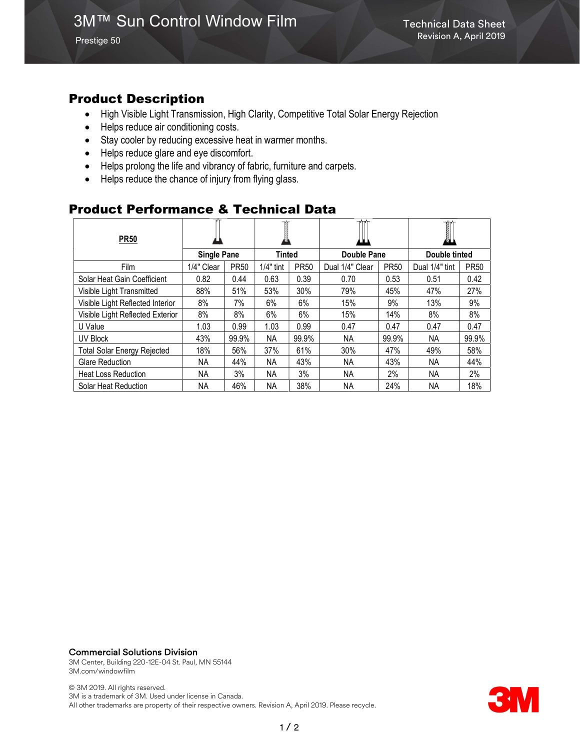Prestige 50

## Product Description

- High Visible Light Transmission, High Clarity, Competitive Total Solar Energy Rejection
- Helps reduce air conditioning costs.
- Stay cooler by reducing excessive heat in warmer months.
- Helps reduce glare and eye discomfort.
- Helps prolong the life and vibrancy of fabric, furniture and carpets.
- Helps reduce the chance of injury from flying glass.

### Product Performance & Technical Data

| <b>PR50</b>                        |                    |             |             |             |                 |             | T<br>øЦ        |             |
|------------------------------------|--------------------|-------------|-------------|-------------|-----------------|-------------|----------------|-------------|
|                                    | <b>Single Pane</b> |             | Tinted      |             | Double Pane     |             | Double tinted  |             |
| Film                               | 1/4" Clear         | <b>PR50</b> | $1/4"$ tint | <b>PR50</b> | Dual 1/4" Clear | <b>PR50</b> | Dual 1/4" tint | <b>PR50</b> |
| Solar Heat Gain Coefficient        | 0.82               | 0.44        | 0.63        | 0.39        | 0.70            | 0.53        | 0.51           | 0.42        |
| Visible Light Transmitted          | 88%                | 51%         | 53%         | 30%         | 79%             | 45%         | 47%            | 27%         |
| Visible Light Reflected Interior   | 8%                 | 7%          | 6%          | 6%          | 15%             | 9%          | 13%            | 9%          |
| Visible Light Reflected Exterior   | 8%                 | 8%          | 6%          | 6%          | 15%             | 14%         | 8%             | 8%          |
| U Value                            | 1.03               | 0.99        | 1.03        | 0.99        | 0.47            | 0.47        | 0.47           | 0.47        |
| UV Block                           | 43%                | 99.9%       | NA          | 99.9%       | NА              | 99.9%       | NA.            | 99.9%       |
| <b>Total Solar Energy Rejected</b> | 18%                | 56%         | 37%         | 61%         | 30%             | 47%         | 49%            | 58%         |
| Glare Reduction                    | NA.                | 44%         | <b>NA</b>   | 43%         | NA.             | 43%         | NA.            | 44%         |
| <b>Heat Loss Reduction</b>         | NA.                | 3%          | <b>NA</b>   | 3%          | <b>NA</b>       | 2%          | <b>NA</b>      | 2%          |
| Solar Heat Reduction               | <b>NA</b>          | 46%         | NA          | 38%         | <b>NA</b>       | 24%         | <b>NA</b>      | 18%         |

#### Commercial Solutions Division

3M Center, Building 220-12E-04 St. Paul, MN 55144 3M.com/windowfilm

© 3M 2019. All rights reserved. 3M is a trademark of 3M. Used under license in Canada. All other trademarks are property of their respective owners. Revision A, April 2019. Please recycle.